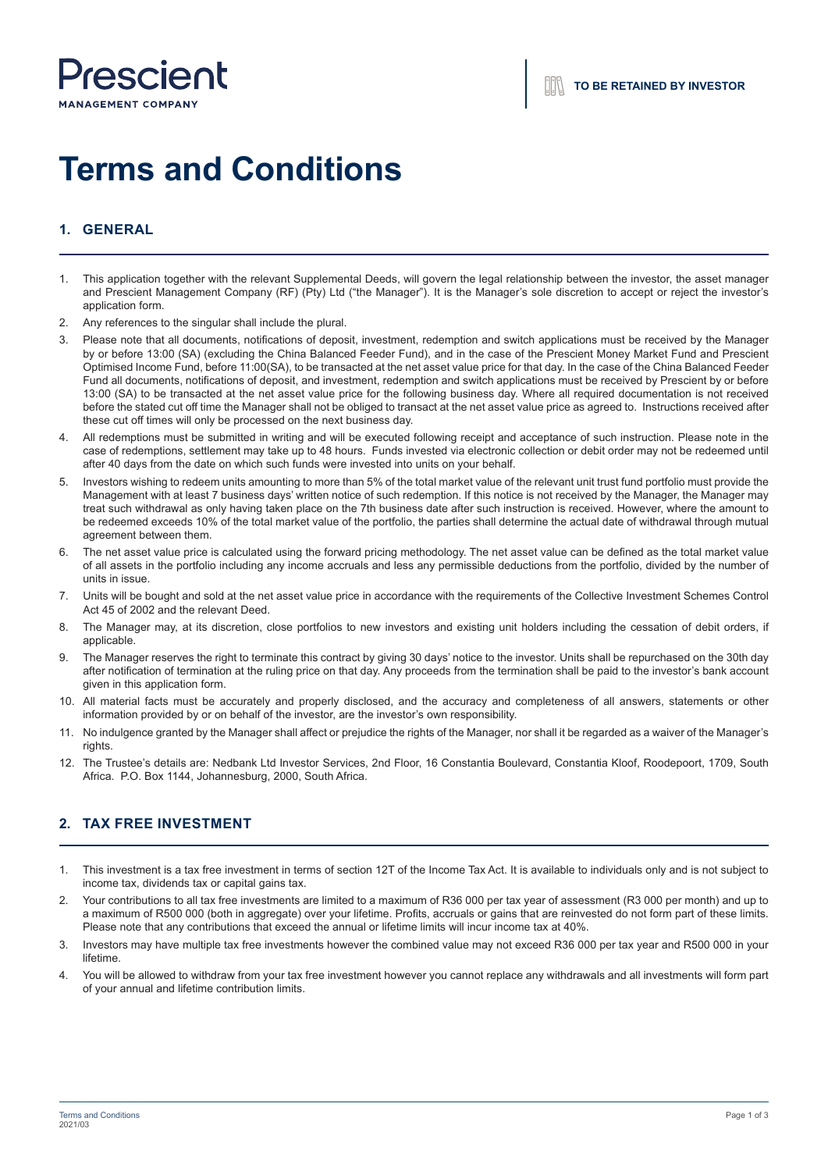

# **Terms and Conditions**

# **1. GENERAL**

- 1. This application together with the relevant Supplemental Deeds, will govern the legal relationship between the investor, the asset manager and Prescient Management Company (RF) (Pty) Ltd ("the Manager"). It is the Manager's sole discretion to accept or reject the investor's application form.
- 2. Any references to the singular shall include the plural.
- 3. Please note that all documents, notifications of deposit, investment, redemption and switch applications must be received by the Manager by or before 13:00 (SA) (excluding the China Balanced Feeder Fund), and in the case of the Prescient Money Market Fund and Prescient Optimised Income Fund, before 11:00(SA), to be transacted at the net asset value price for that day. In the case of the China Balanced Feeder Fund all documents, notifications of deposit, and investment, redemption and switch applications must be received by Prescient by or before 13:00 (SA) to be transacted at the net asset value price for the following business day. Where all required documentation is not received before the stated cut off time the Manager shall not be obliged to transact at the net asset value price as agreed to. Instructions received after these cut off times will only be processed on the next business day.
- 4. All redemptions must be submitted in writing and will be executed following receipt and acceptance of such instruction. Please note in the case of redemptions, settlement may take up to 48 hours. Funds invested via electronic collection or debit order may not be redeemed until after 40 days from the date on which such funds were invested into units on your behalf.
- 5. Investors wishing to redeem units amounting to more than 5% of the total market value of the relevant unit trust fund portfolio must provide the Management with at least 7 business days' written notice of such redemption. If this notice is not received by the Manager, the Manager may treat such withdrawal as only having taken place on the 7th business date after such instruction is received. However, where the amount to be redeemed exceeds 10% of the total market value of the portfolio, the parties shall determine the actual date of withdrawal through mutual agreement between them.
- 6. The net asset value price is calculated using the forward pricing methodology. The net asset value can be defined as the total market value of all assets in the portfolio including any income accruals and less any permissible deductions from the portfolio, divided by the number of units in issue.
- 7. Units will be bought and sold at the net asset value price in accordance with the requirements of the Collective Investment Schemes Control Act 45 of 2002 and the relevant Deed.
- 8. The Manager may, at its discretion, close portfolios to new investors and existing unit holders including the cessation of debit orders, if applicable
- 9. The Manager reserves the right to terminate this contract by giving 30 days' notice to the investor. Units shall be repurchased on the 30th day after notification of termination at the ruling price on that day. Any proceeds from the termination shall be paid to the investor's bank account given in this application form.
- 10. All material facts must be accurately and properly disclosed, and the accuracy and completeness of all answers, statements or other information provided by or on behalf of the investor, are the investor's own responsibility.
- 11. No indulgence granted by the Manager shall affect or prejudice the rights of the Manager, nor shall it be regarded as a waiver of the Manager's rights.
- 12. The Trustee's details are: Nedbank Ltd Investor Services, 2nd Floor, 16 Constantia Boulevard, Constantia Kloof, Roodepoort, 1709, South Africa. P.O. Box 1144, Johannesburg, 2000, South Africa.

# **2. TAX FREE INVESTMENT**

- 1. This investment is a tax free investment in terms of section 12T of the Income Tax Act. It is available to individuals only and is not subject to income tax, dividends tax or capital gains tax.
- 2. Your contributions to all tax free investments are limited to a maximum of R36 000 per tax year of assessment (R3 000 per month) and up to a maximum of R500 000 (both in aggregate) over your lifetime. Profits, accruals or gains that are reinvested do not form part of these limits. Please note that any contributions that exceed the annual or lifetime limits will incur income tax at 40%.
- 3. Investors may have multiple tax free investments however the combined value may not exceed R36 000 per tax year and R500 000 in your lifetime.
- 4. You will be allowed to withdraw from your tax free investment however you cannot replace any withdrawals and all investments will form part of your annual and lifetime contribution limits.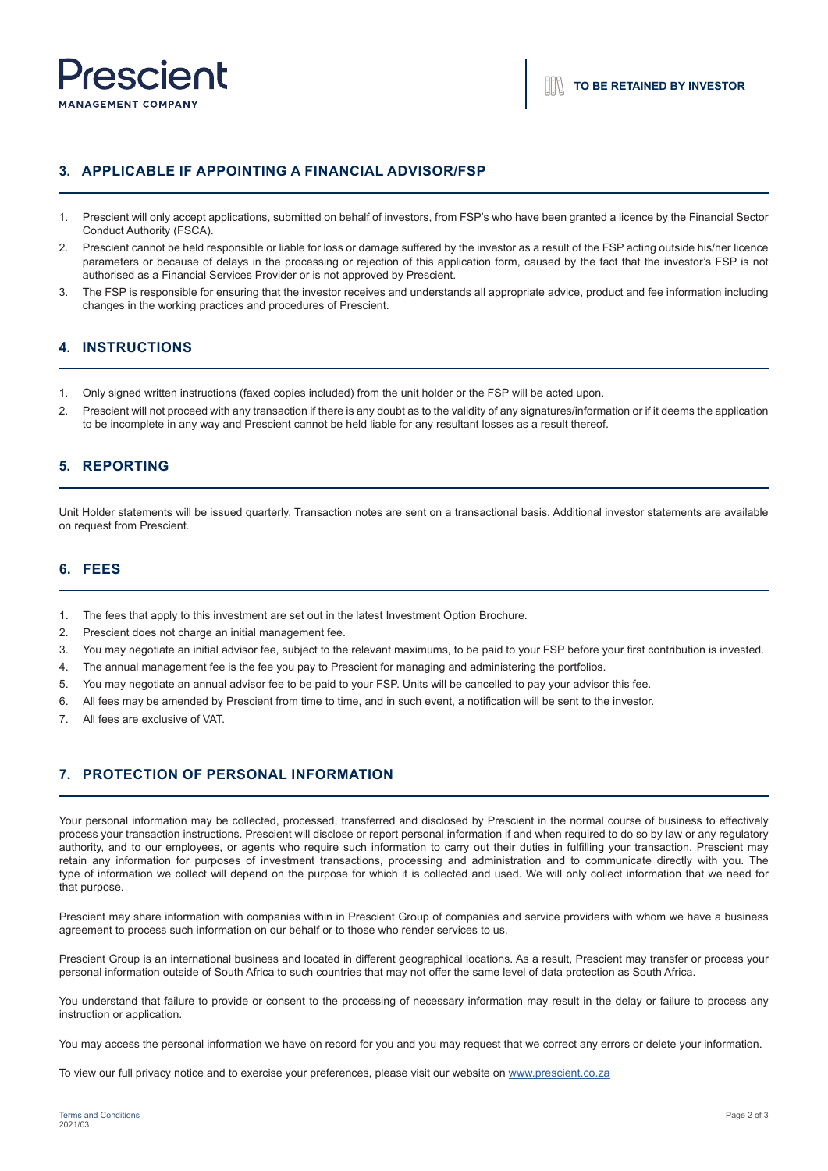

# **3. APPLICABLE IF APPOINTING A FINANCIAL ADVISOR/FSP**

- 1. Prescient will only accept applications, submitted on behalf of investors, from FSP's who have been granted a licence by the Financial Sector Conduct Authority (FSCA).
- 2. Prescient cannot be held responsible or liable for loss or damage suffered by the investor as a result of the FSP acting outside his/her licence parameters or because of delays in the processing or rejection of this application form, caused by the fact that the investor's FSP is not authorised as a Financial Services Provider or is not approved by Prescient.
- 3. The FSP is responsible for ensuring that the investor receives and understands all appropriate advice, product and fee information including changes in the working practices and procedures of Prescient.

#### **4. INSTRUCTIONS**

- 1. Only signed written instructions (faxed copies included) from the unit holder or the FSP will be acted upon.
- 2. Prescient will not proceed with any transaction if there is any doubt as to the validity of any signatures/information or if it deems the application to be incomplete in any way and Prescient cannot be held liable for any resultant losses as a result thereof.

#### **5. REPORTING**

Unit Holder statements will be issued quarterly. Transaction notes are sent on a transactional basis. Additional investor statements are available on request from Prescient.

## **6. FEES**

- 1. The fees that apply to this investment are set out in the latest Investment Option Brochure.
- 2. Prescient does not charge an initial management fee.
- 3. You may negotiate an initial advisor fee, subject to the relevant maximums, to be paid to your FSP before your first contribution is invested.
- 4. The annual management fee is the fee you pay to Prescient for managing and administering the portfolios.
- 5. You may negotiate an annual advisor fee to be paid to your FSP. Units will be cancelled to pay your advisor this fee.
- 6. All fees may be amended by Prescient from time to time, and in such event, a notification will be sent to the investor.
- 7. All fees are exclusive of VAT.

### **7. PROTECTION OF PERSONAL INFORMATION**

Your personal information may be collected, processed, transferred and disclosed by Prescient in the normal course of business to effectively process your transaction instructions. Prescient will disclose or report personal information if and when required to do so by law or any regulatory authority, and to our employees, or agents who require such information to carry out their duties in fulfilling your transaction. Prescient may retain any information for purposes of investment transactions, processing and administration and to communicate directly with you. The type of information we collect will depend on the purpose for which it is collected and used. We will only collect information that we need for that purpose.

Prescient may share information with companies within in Prescient Group of companies and service providers with whom we have a business agreement to process such information on our behalf or to those who render services to us.

Prescient Group is an international business and located in different geographical locations. As a result, Prescient may transfer or process your personal information outside of South Africa to such countries that may not offer the same level of data protection as South Africa.

You understand that failure to provide or consent to the processing of necessary information may result in the delay or failure to process any instruction or application.

You may access the personal information we have on record for you and you may request that we correct any errors or delete your information.

To view our full privacy notice and to exercise your preferences, please visit our website on www.prescient.co.za